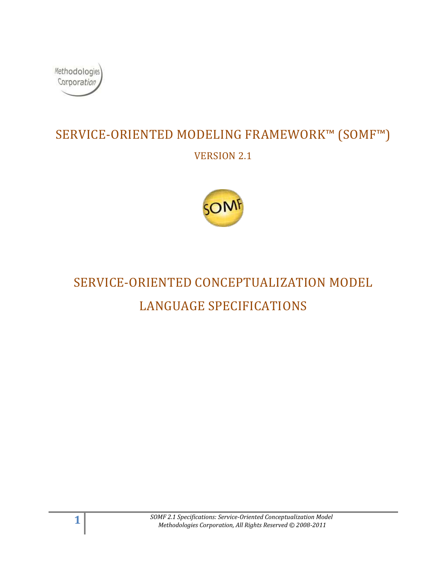

## SERVICE-ORIENTED MODELING FRAMEWORK™ (SOMF™) VERSION 2.1



# SERVICE-ORIENTED CONCEPTUALIZATION MODEL LANGUAGE SPECIFICATIONS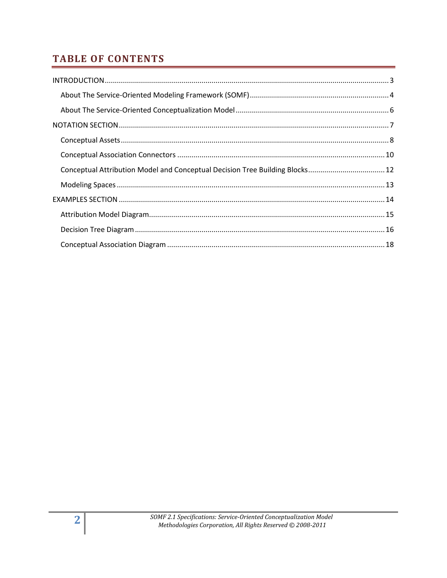### **TABLE OF CONTENTS**

| Conceptual Attribution Model and Conceptual Decision Tree Building Blocks 12 |  |
|------------------------------------------------------------------------------|--|
|                                                                              |  |
|                                                                              |  |
|                                                                              |  |
|                                                                              |  |
|                                                                              |  |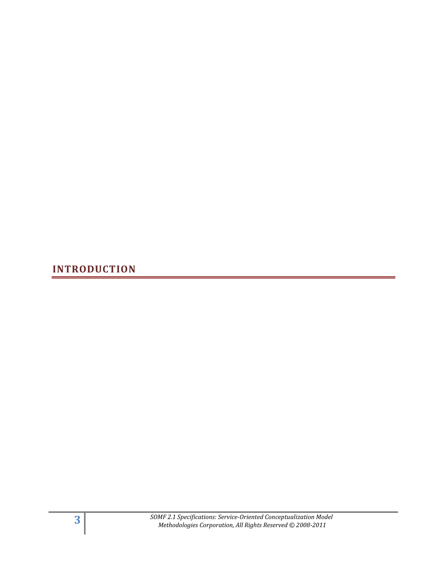<span id="page-2-0"></span>**INTRODUCTION**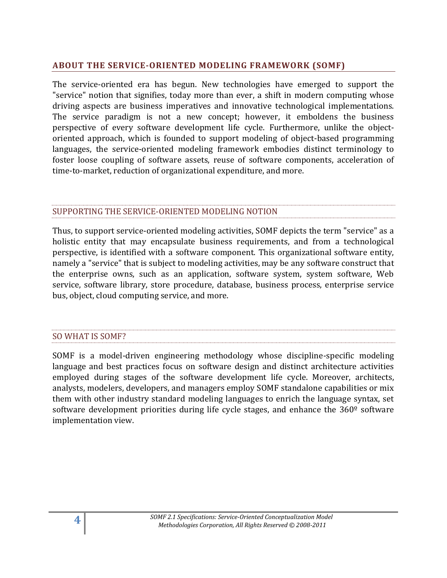#### <span id="page-3-0"></span>**ABOUT THE SERVICE-ORIENTED MODELING FRAMEWORK (SOMF)**

The service-oriented era has begun. New technologies have emerged to support the "service" notion that signifies, today more than ever, a shift in modern computing whose driving aspects are business imperatives and innovative technological implementations. The service paradigm is not a new concept; however, it emboldens the business perspective of every software development life cycle. Furthermore, unlike the objectoriented approach, which is founded to support modeling of object-based programming languages, the service-oriented modeling framework embodies distinct terminology to foster loose coupling of software assets, reuse of software components, acceleration of time-to-market, reduction of organizational expenditure, and more.

#### SUPPORTING THE SERVICE-ORIENTED MODELING NOTION

Thus, to support service-oriented modeling activities, SOMF depicts the term "service" as a holistic entity that may encapsulate business requirements, and from a technological perspective, is identified with a software component. This organizational software entity, namely a "service" that is subject to modeling activities, may be any software construct that the enterprise owns, such as an application, software system, system software, Web service, software library, store procedure, database, business process, enterprise service bus, object, cloud computing service, and more.

#### SO WHAT IS SOMF?

SOMF is a model-driven engineering methodology whose discipline-specific modeling language and best practices focus on software design and distinct architecture activities employed during stages of the software development life cycle. Moreover, architects, analysts, modelers, developers, and managers employ SOMF standalone capabilities or mix them with other industry standard modeling languages to enrich the language syntax, set software development priorities during life cycle stages, and enhance the 360<sup>°</sup> software implementation view.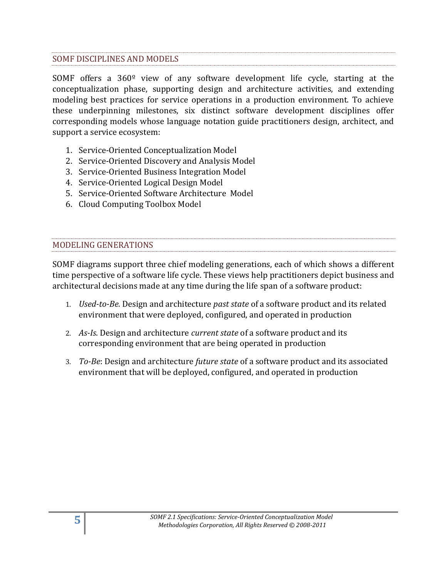#### SOMF DISCIPLINES AND MODELS

SOMF offers a 360º view of any software development life cycle, starting at the conceptualization phase, supporting design and architecture activities, and extending modeling best practices for service operations in a production environment. To achieve these underpinning milestones, six distinct software development disciplines offer corresponding models whose language notation guide practitioners design, architect, and support a service ecosystem:

- 1. Service-Oriented Conceptualization Model
- 2. Service-Oriented Discovery and Analysis Model
- 3. Service-Oriented Business Integration Model
- 4. Service-Oriented Logical Design Model
- 5. Service-Oriented Software Architecture Model
- 6. Cloud Computing Toolbox Model

#### MODELING GENERATIONS

SOMF diagrams support three chief modeling generations, each of which shows a different time perspective of a software life cycle. These views help practitioners depict business and architectural decisions made at any time during the life span of a software product:

- 1. *Used-to-Be*. Design and architecture *past state* of a software product and its related environment that were deployed, configured, and operated in production
- 2. *As-Is*. Design and architecture *current state* of a software product and its corresponding environment that are being operated in production
- 3. *To-Be*: Design and architecture *future state* of a software product and its associated environment that will be deployed, configured, and operated in production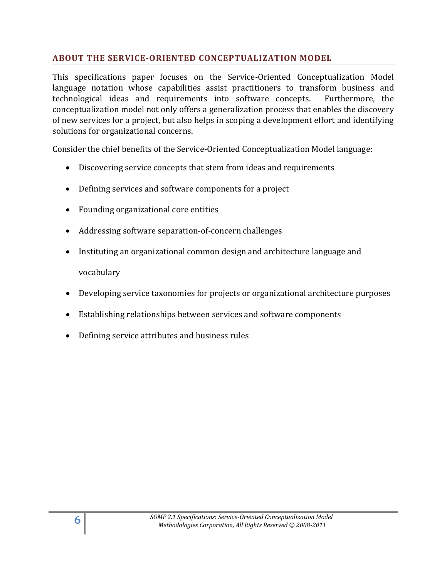#### <span id="page-5-0"></span>**ABOUT THE SERVICE-ORIENTED CONCEPTUALIZATION MODEL**

This specifications paper focuses on the Service-Oriented Conceptualization Model language notation whose capabilities assist practitioners to transform business and technological ideas and requirements into software concepts. Furthermore, the conceptualization model not only offers a generalization process that enables the discovery of new services for a project, but also helps in scoping a development effort and identifying solutions for organizational concerns.

Consider the chief benefits of the Service-Oriented Conceptualization Model language:

- Discovering service concepts that stem from ideas and requirements
- Defining services and software components for a project
- Founding organizational core entities
- Addressing software separation-of-concern challenges
- Instituting an organizational common design and architecture language and vocabulary
- Developing service taxonomies for projects or organizational architecture purposes
- Establishing relationships between services and software components
- Defining service attributes and business rules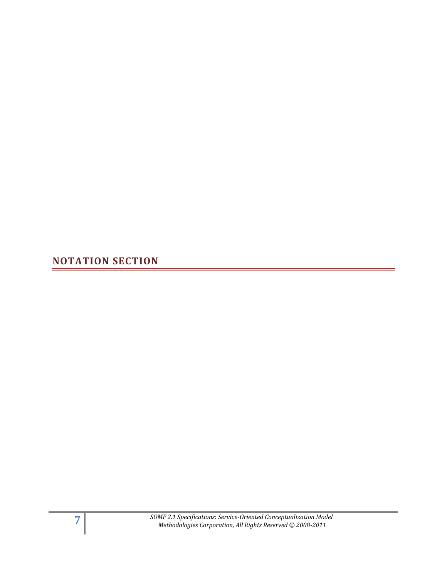<span id="page-6-0"></span>**NOTATION SECTION**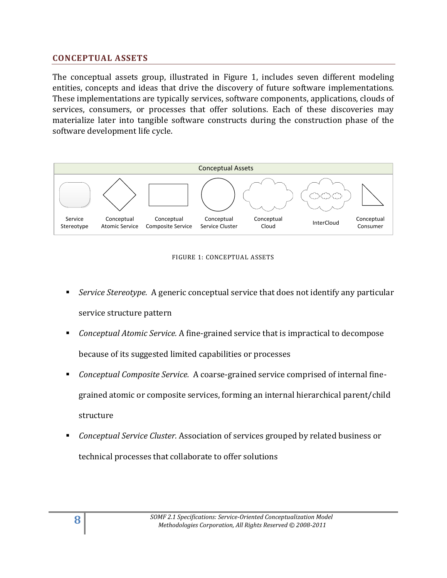#### <span id="page-7-0"></span>**CONCEPTUAL ASSETS**

The conceptual assets group, illustrated in Figure 1, includes seven different modeling entities, concepts and ideas that drive the discovery of future software implementations. These implementations are typically services, software components, applications, clouds of services, consumers, or processes that offer solutions. Each of these discoveries may materialize later into tangible software constructs during the construction phase of the software development life cycle.



#### FIGURE 1: CONCEPTUAL ASSETS

- *Service Stereotype.* A generic conceptual service that does not identify any particular service structure pattern
- *Conceptual Atomic Service.* A fine-grained service that is impractical to decompose because of its suggested limited capabilities or processes
- *Conceptual Composite Service.* A coarse-grained service comprised of internal finegrained atomic or composite services, forming an internal hierarchical parent/child structure
- *Conceptual Service Cluster.* Association of services grouped by related business or technical processes that collaborate to offer solutions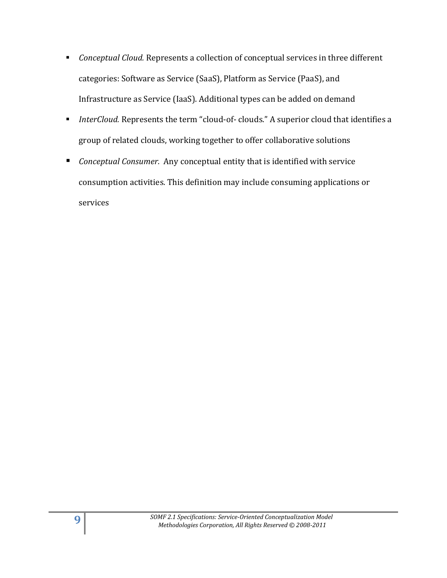- *Conceptual Cloud.* Represents a collection of conceptual services in three different categories: Software as Service (SaaS), Platform as Service (PaaS), and Infrastructure as Service (IaaS). Additional types can be added on demand
- *InterCloud.* Represents the term "cloud-of- clouds." A superior cloud that identifies a group of related clouds, working together to offer collaborative solutions
- *Conceptual Consumer.* Any conceptual entity that is identified with service consumption activities. This definition may include consuming applications or services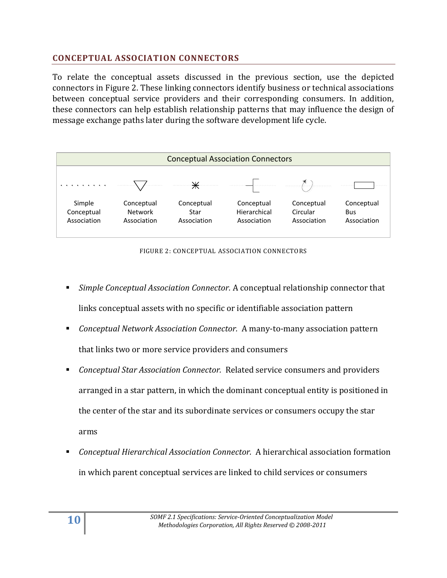#### <span id="page-9-0"></span>**CONCEPTUAL ASSOCIATION CONNECTORS**

To relate the conceptual assets discussed in the previous section, use the depicted connectors in Figure 2. These linking connectors identify business or technical associations between conceptual service providers and their corresponding consumers. In addition, these connectors can help establish relationship patterns that may influence the design of message exchange paths later during the software development life cycle.



FIGURE 2: CONCEPTUAL ASSOCIATION CONNECTORS

- *Simple Conceptual Association Connector.* A conceptual relationship connector that links conceptual assets with no specific or identifiable association pattern
- *Conceptual Network Association Connector.* A many-to-many association pattern that links two or more service providers and consumers
- *Conceptual Star Association Connector.* Related service consumers and providers arranged in a star pattern, in which the dominant conceptual entity is positioned in the center of the star and its subordinate services or consumers occupy the star arms
- *Conceptual Hierarchical Association Connector.* A hierarchical association formation in which parent conceptual services are linked to child services or consumers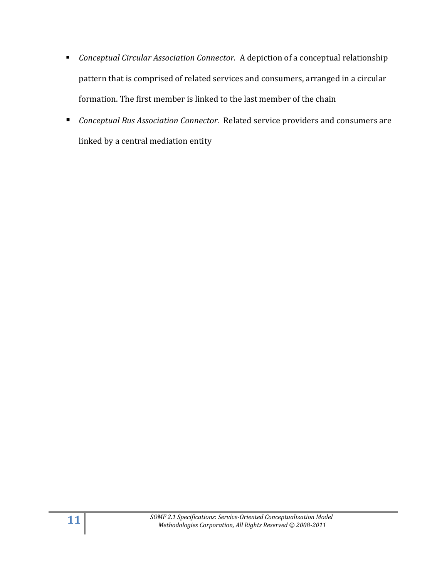- *Conceptual Circular Association Connector.* A depiction of a conceptual relationship pattern that is comprised of related services and consumers, arranged in a circular formation. The first member is linked to the last member of the chain
- *Conceptual Bus Association Connector.* Related service providers and consumers are linked by a central mediation entity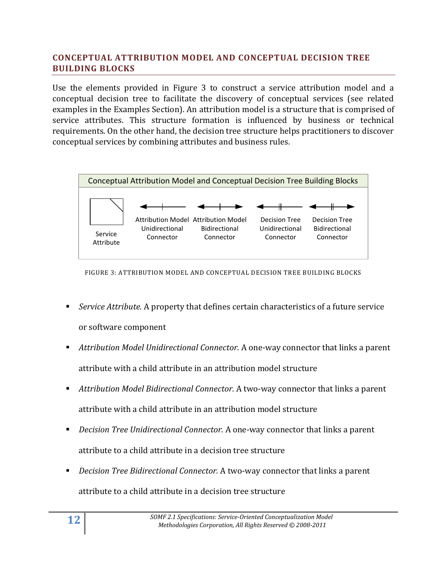#### <span id="page-11-0"></span>**CONCEPTUAL ATTRIBUTION MODEL AND CONCEPTUAL DECISION TREE BUILDING BLOCKS**

Use the elements provided in Figure 3 to construct a service attribution model and a conceptual decision tree to facilitate the discovery of conceptual services (see related examples in the Examples Section). An attribution model is a structure that is comprised of service attributes. This structure formation is influenced by business or technical requirements. On the other hand, the decision tree structure helps practitioners to discover conceptual services by combining attributes and business rules.



FIGURE 3: ATTRIBUTION MODEL AND CONCEPTUAL DECISION TREE BUILDING BLOCKS

- *Service Attribute.* A property that defines certain characteristics of a future service or software component
- *Attribution Model Unidirectional Connector.* A one-way connector that links a parent attribute with a child attribute in an attribution model structure
- *Attribution Model Bidirectional Connector.* A two-way connector that links a parent attribute with a child attribute in an attribution model structure
- *Decision Tree Unidirectional Connector.* A one-way connector that links a parent attribute to a child attribute in a decision tree structure
- *Decision Tree Bidirectional Connector.* A two-way connector that links a parent attribute to a child attribute in a decision tree structure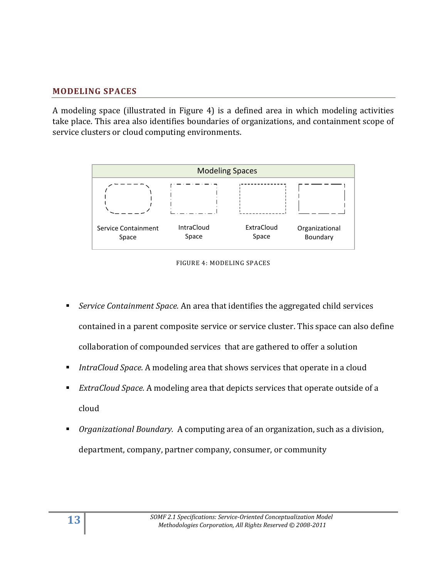#### <span id="page-12-0"></span>**MODELING SPACES**

A modeling space (illustrated in Figure 4) is a defined area in which modeling activities take place. This area also identifies boundaries of organizations, and containment scope of service clusters or cloud computing environments.





- *Service Containment Space.* An area that identifies the aggregated child services contained in a parent composite service or service cluster. This space can also define collaboration of compounded services that are gathered to offer a solution
- *IntraCloud Space.* A modeling area that shows services that operate in a cloud
- *ExtraCloud Space.* A modeling area that depicts services that operate outside of a cloud
- *Organizational Boundary.* A computing area of an organization, such as a division, department, company, partner company, consumer, or community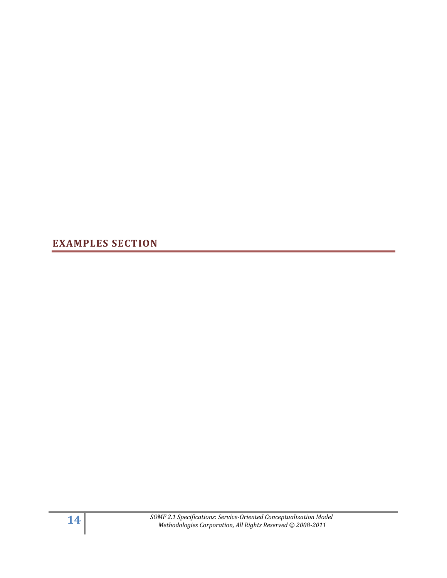<span id="page-13-0"></span>**EXAMPLES SECTION**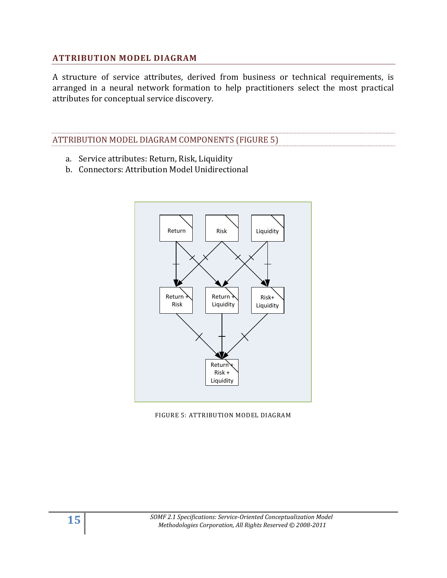#### <span id="page-14-0"></span>**ATTRIBUTION MODEL DIAGRAM**

A structure of service attributes, derived from business or technical requirements, is arranged in a neural network formation to help practitioners select the most practical attributes for conceptual service discovery.

#### ATTRIBUTION MODEL DIAGRAM COMPONENTS (FIGURE 5)

- a. Service attributes: Return, Risk, Liquidity
- b. Connectors: Attribution Model Unidirectional



FIGURE 5: ATTRIBUTION MODEL DIAGRAM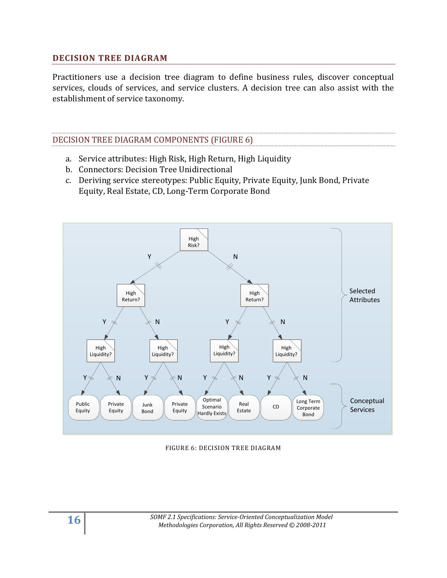#### <span id="page-15-0"></span>**DECISION TREE DIAGRAM**

Practitioners use a decision tree diagram to define business rules, discover conceptual services, clouds of services, and service clusters. A decision tree can also assist with the establishment of service taxonomy.

#### DECISION TREE DIAGRAM COMPONENTS (FIGURE 6)

- a. Service attributes: High Risk, High Return, High Liquidity
- b. Connectors: Decision Tree Unidirectional
- c. Deriving service stereotypes: Public Equity, Private Equity, Junk Bond, Private Equity, Real Estate, CD, Long-Term Corporate Bond



FIGURE 6: DECISION TREE DIAGRAM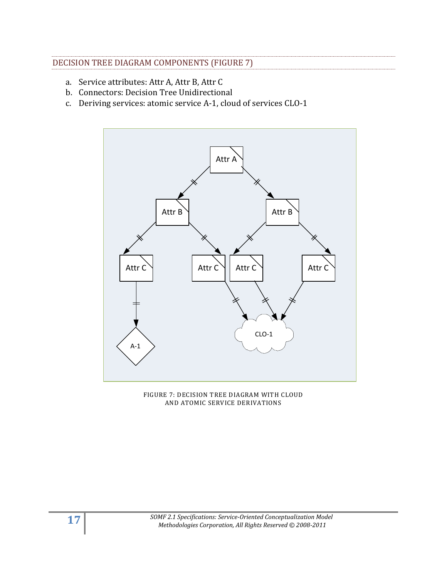#### DECISION TREE DIAGRAM COMPONENTS (FIGURE 7)

- a. Service attributes: Attr A, Attr B, Attr C
- b. Connectors: Decision Tree Unidirectional
- c. Deriving services: atomic service A-1, cloud of services CLO-1



FIGURE 7: DECISION TREE DIAGRAM WITH CLOUD AND ATOMIC SERVICE DERIVATIONS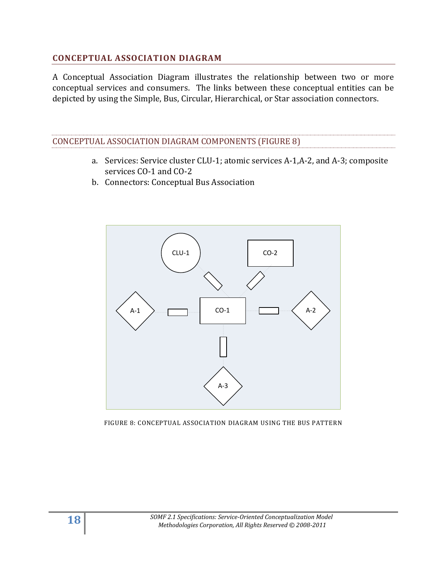#### <span id="page-17-0"></span>**CONCEPTUAL ASSOCIATION DIAGRAM**

A Conceptual Association Diagram illustrates the relationship between two or more conceptual services and consumers. The links between these conceptual entities can be depicted by using the Simple, Bus, Circular, Hierarchical, or Star association connectors.

CONCEPTUAL ASSOCIATION DIAGRAM COMPONENTS (FIGURE 8)

- a. Services: Service cluster CLU-1; atomic services A-1,A-2, and A-3; composite services CO-1 and CO-2
- b. Connectors: Conceptual Bus Association



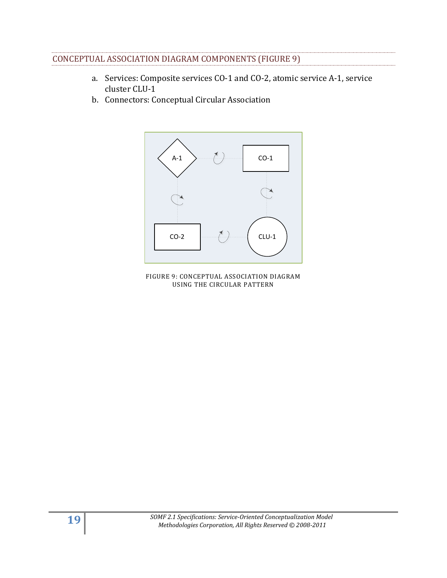## CONCEPTUAL ASSOCIATION DIAGRAM COMPONENTS (FIGURE 9)

- a. Services: Composite services CO-1 and CO-2, atomic service A-1, service cluster CLU-1
- b. Connectors: Conceptual Circular Association



FIGURE 9: CONCEPTUAL ASSOCIATION DIAGRAM USING THE CIRCULAR PATTERN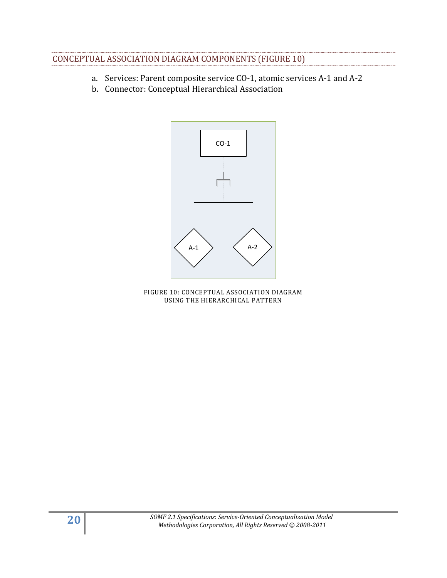- a. Services: Parent composite service CO-1, atomic services A-1 and A-2
- b. Connector: Conceptual Hierarchical Association



FIGURE 10: CONCEPTUAL ASSOCIATION DIAGRAM USING THE HIERARCHICAL PATTERN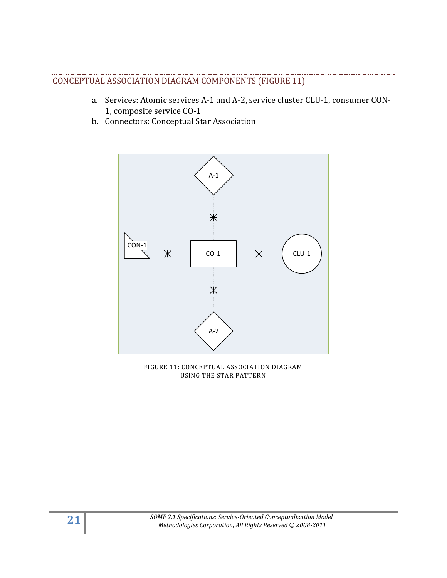#### CONCEPTUAL ASSOCIATION DIAGRAM COMPONENTS (FIGURE 11)

- a. Services: Atomic services A-1 and A-2, service cluster CLU-1, consumer CON-1, composite service CO-1
- b. Connectors: Conceptual Star Association



FIGURE 11: CONCEPTUAL ASSOCIATION DIAGRAM USING THE STAR PATTERN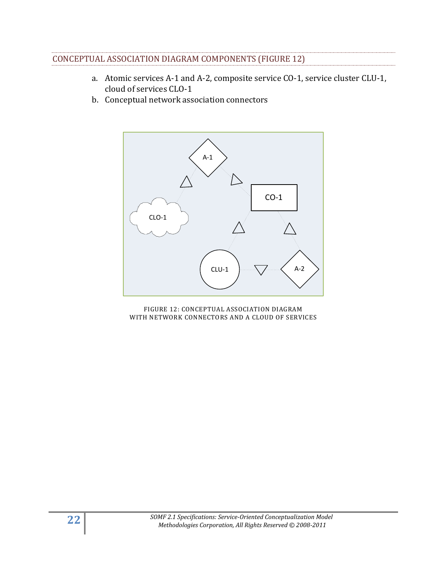#### CONCEPTUAL ASSOCIATION DIAGRAM COMPONENTS (FIGURE 12)

- a. Atomic services A-1 and A-2, composite service CO-1, service cluster CLU-1, cloud of services CLO-1
- b. Conceptual network association connectors



FIGURE 12: CONCEPTUAL ASSOCIATION DIAGRAM WITH NETWORK CONNECTORS AND A CLOUD OF SERVICES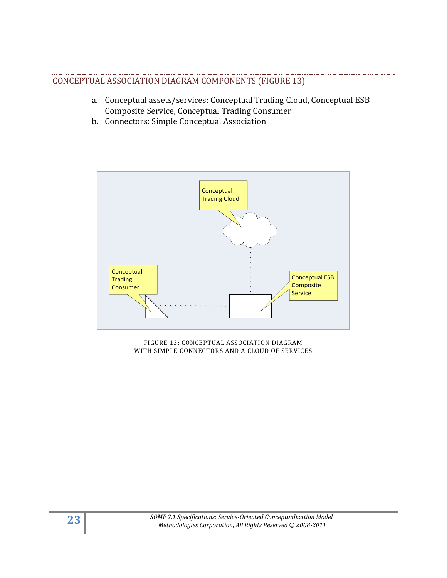#### CONCEPTUAL ASSOCIATION DIAGRAM COMPONENTS (FIGURE 13)

- a. Conceptual assets/services: Conceptual Trading Cloud, Conceptual ESB Composite Service, Conceptual Trading Consumer
- b. Connectors: Simple Conceptual Association



FIGURE 13: CONCEPTUAL ASSOCIATION DIAGRAM WITH SIMPLE CONNECTORS AND A CLOUD OF SERVICES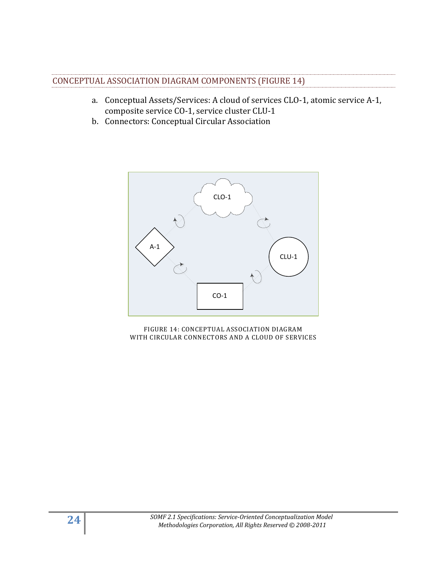#### CONCEPTUAL ASSOCIATION DIAGRAM COMPONENTS (FIGURE 14)

- a. Conceptual Assets/Services: A cloud of services CLO-1, atomic service A-1, composite service CO-1, service cluster CLU-1
- b. Connectors: Conceptual Circular Association



FIGURE 14: CONCEPTUAL ASSOCIATION DIAGRAM WITH CIRCULAR CONNECTORS AND A CLOUD OF SERVICES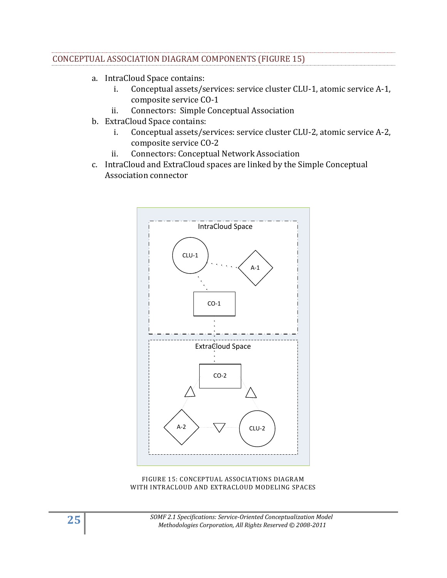#### CONCEPTUAL ASSOCIATION DIAGRAM COMPONENTS (FIGURE 15)

- a. IntraCloud Space contains:
	- i. Conceptual assets/services: service cluster CLU-1, atomic service A-1, composite service CO-1
	- ii. Connectors: Simple Conceptual Association
- b. ExtraCloud Space contains:
	- i. Conceptual assets/services: service cluster CLU-2, atomic service A-2, composite service CO-2
	- ii. Connectors: Conceptual Network Association
- c. IntraCloud and ExtraCloud spaces are linked by the Simple Conceptual Association connector



FIGURE 15: CONCEPTUAL ASSOCIATIONS DIAGRAM WITH INTRACLOUD AND EXTRACLOUD MODELING SPACES

**25** *SOMF 2.1 Specifications: Service-Oriented Conceptualization Model Methodologies Corporation, All Rights Reserved © 2008-2011*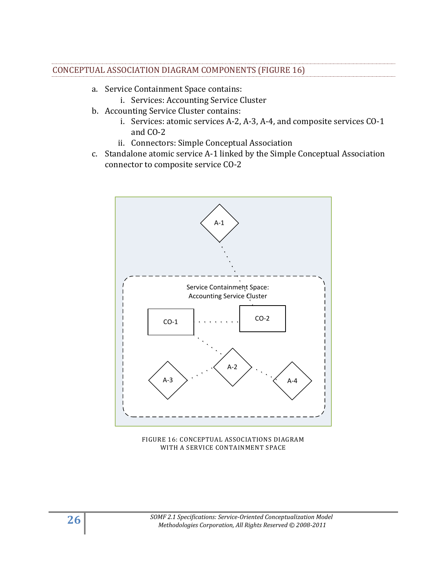#### CONCEPTUAL ASSOCIATION DIAGRAM COMPONENTS (FIGURE 16)

- a. Service Containment Space contains:
	- i. Services: Accounting Service Cluster
- b. Accounting Service Cluster contains:
	- i. Services: atomic services A-2, A-3, A-4, and composite services CO-1 and CO-2
	- ii. Connectors: Simple Conceptual Association
- c. Standalone atomic service A-1 linked by the Simple Conceptual Association connector to composite service CO-2



FIGURE 16: CONCEPTUAL ASSOCIATIONS DIAGRAM WITH A SERVICE CONTAINMENT SPACE